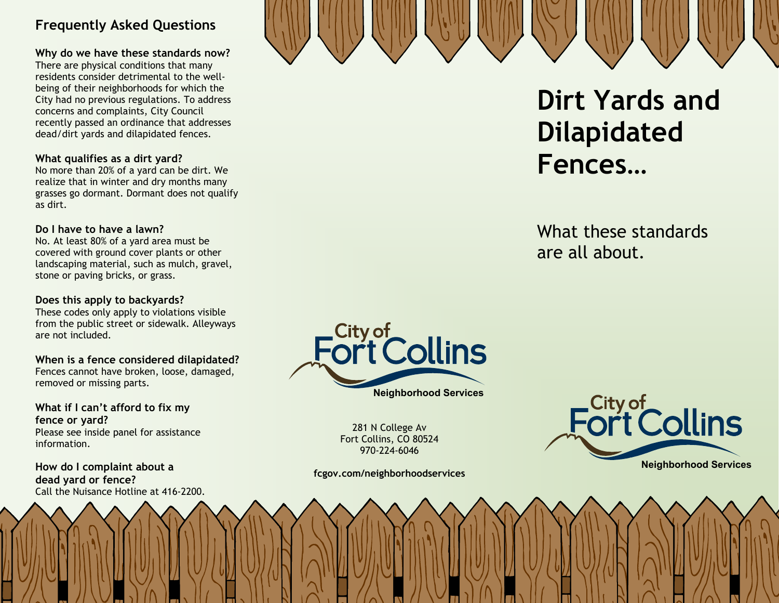## **Frequently Asked Questions**

#### **Why do we have these standards now?**

There are physical conditions that many residents consider detrimental to the wellbeing of their neighborhoods for which the City had no previous regulations. To address concerns and complaints, City Council recently passed an ordinance that addresses dead/dirt yards and dilapidated fences.

#### **What qualifies as a dirt yard?**

No more than 20% of a yard can be dirt. We realize that in winter and dry months many grasses go dormant. Dormant does not qualify as dirt.

#### **Do I have to have a lawn?**

No. At least 80% of a yard area must be covered with ground cover plants or other landscaping material, such as mulch, gravel, stone or paving bricks, or grass.

#### **Does this apply to backyards?**

These codes only apply to violations visible from the public street or sidewalk. Alleyways are not included.

#### **When is a fence considered dilapidated?**

Fences cannot have broken, loose, damaged, removed or missing parts.

**What if I can't afford to fix my fence or yard?**  Please see inside panel for assistance information.

**How do I complaint about a dead yard or fence?**  Call the Nuisance Hotline at 416-2200.



**Neighborhood Services** 

281 N College Av Fort Collins, CO 80524 970-224-6046

**fcgov.com/neighborhoodservices** 



**Dirt Yards and** 

**Dilapidated**